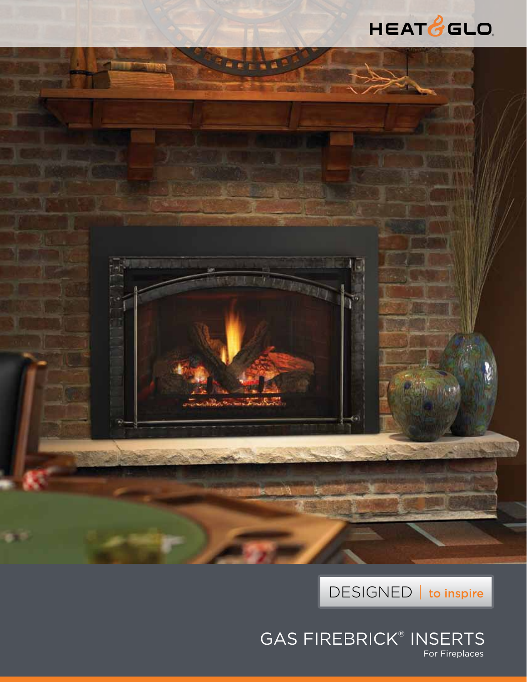





GAS FIREBRICK® INSERTS For Fireplaces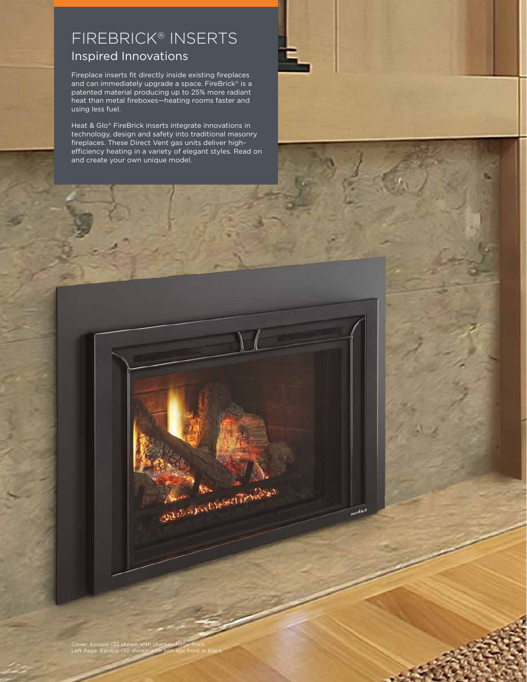# Firebrick® Inserts Inspired Innovations

Fireplace inserts fit directly inside existing fireplaces and can immediately upgrade a space. FireBrick<sup>®</sup> is a patented material producing up to 25% more radiant heat than metal fireboxes—heating rooms faster and using less fuel.

Heat & Glo® FireBrick inserts integrate innovations in technology, design and safety into traditional masonry fireplaces. These Direct Vent gas units deliver highefficiency heating in a variety of elegant styles. Read on and create your own unique model.



**HEATH<sup>OLD</sup>** 

Cover: Escape-I35 shown with chateau forge front. Left Page: Escape-I30 shown with iron age front in black.

Salvarist Desert Trickle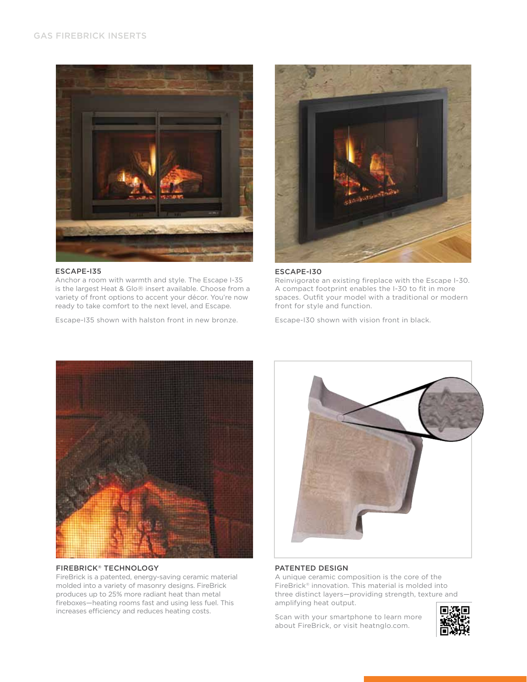

# ESCAPE-I35

Anchor a room with warmth and style. The Escape I-35 is the largest Heat & Glo® insert available. Choose from a variety of front options to accent your décor. You're now ready to take comfort to the next level, and Escape.

Escape-I35 shown with halston front in new bronze.



# ESCAPE-I30

Reinvigorate an existing fireplace with the Escape I-30. A compact footprint enables the I-30 to fit in more spaces. Outfit your model with a traditional or modern front for style and function.

Escape-I30 shown with vision front in black.



# FireBrick® Technology

FireBrick is a patented, energy-saving ceramic material molded into a variety of masonry designs. FireBrick produces up to 25% more radiant heat than metal fireboxes—heating rooms fast and using less fuel. This increases efficiency and reduces heating costs.



# Patented Design

A unique ceramic composition is the core of the FireBrick® innovation. This material is molded into three distinct layers—providing strength, texture and amplifying heat output.

Scan with your smartphone to learn more about FireBrick, or visit heatnglo.com.

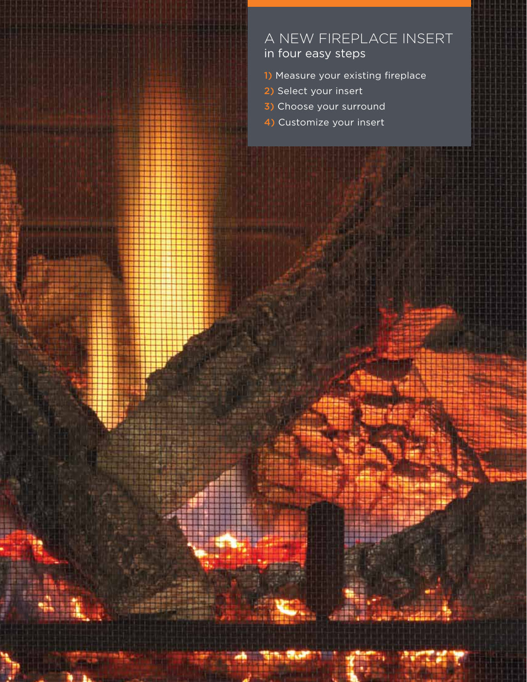# A new fireplace insert in four easy steps

- 1) Measure your existing fireplace
- 2) Select your insert

*<u>Park College International College International College International College International College International College International College International College International College International College Internat*</u>

**CONTRACTOR** 

**Little State** 

- 3) Choose your surround
- 4) Customize your insert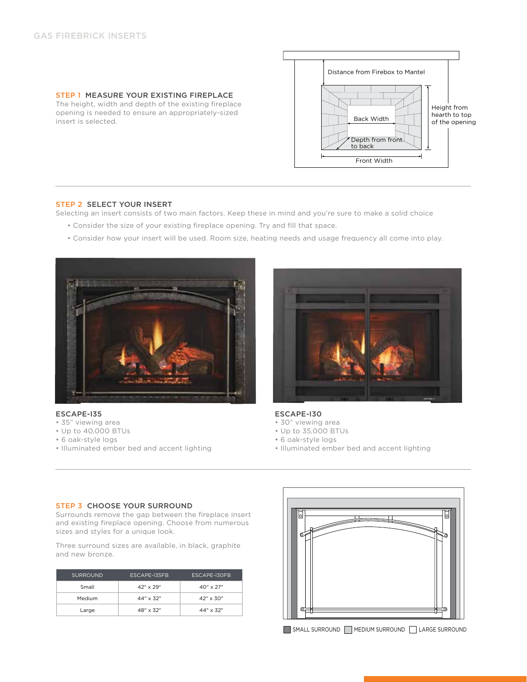insert is selected.



# Step 2 select your insert

Selecting an insert consists of two main factors. Keep these in mind and you're sure to make a solid choice

- Consider the size of your existing fireplace opening. Try and fill that space.
- Consider how your insert will be used. Room size, heating needs and usage frequency all come into play.



#### ESCAPE-I35

- 35" viewing area
- Up to 40,000 BTUs
- 6 oak-style logs
- Illuminated ember bed and accent lighting



#### ESCAPE-I30

- 30" viewing area
- Up to 35,000 BTUs
- 6 oak-style logs
- Illuminated ember bed and accent lighting

#### STEP 3 CHOOSE YOUR SURROUND

Surrounds remove the gap between the fireplace insert and existing fireplace opening. Choose from numerous sizes and styles for a unique look.

Three surround sizes are available, in black, graphite and new bronze.

| <b>SURROUND</b> | <b>ESCAPE-135FB</b> | ESCAPE-130FB       |  |  |
|-----------------|---------------------|--------------------|--|--|
| Small           | $42'' \times 29''$  | $40'' \times 27''$ |  |  |
| Medium          | $44'' \times 32''$  | $42'' \times 30''$ |  |  |
| Large           | $48'' \times 32''$  | $44'' \times 32''$ |  |  |

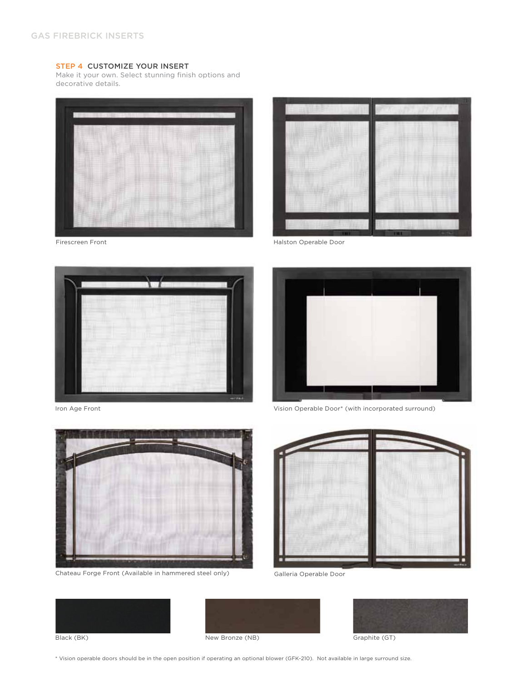# Step 4 Customize Your Insert

Make it your own. Select stunning finish options and decorative details.





Halston Operable Door

Firescreen Front



Iron Age Front



Chateau Forge Front (Available in hammered steel only)



Vision Operable Door\* (with incorporated surround)



Galleria Operable Door







\* Vision operable doors should be in the open position if operating an optional blower (GFK-210). Not available in large surround size.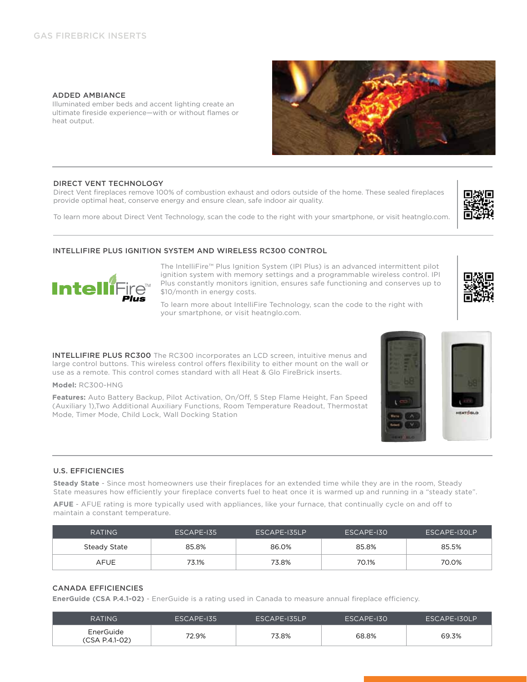# Added Ambiance

Illuminated ember beds and accent lighting create an ultimate fireside experience—with or without flames or heat output.

# direct vent technology

Direct Vent fireplaces remove 100% of combustion exhaust and odors outside of the home. These sealed fireplaces provide optimal heat, conserve energy and ensure clean, safe indoor air quality.

To learn more about Direct Vent Technology, scan the code to the right with your smartphone, or visit heatnglo.com.



The IntelliFire™ Plus Ignition System (IPI Plus) is an advanced intermittent pilot ignition system with memory settings and a programmable wireless control. IPI Plus constantly monitors ignition, ensures safe functioning and conserves up to \$10/month in energy costs.

To learn more about IntelliFire Technology, scan the code to the right with your smartphone, or visit heatnglo.com.

**INTELLIFIRE PLUS RC300** The RC300 incorporates an LCD screen, intuitive menus and large control buttons. This wireless control offers flexibility to either mount on the wall or use as a remote. This control comes standard with all Heat & Glo FireBrick inserts.

### **Model:** RC300-HNG

**Intell** 

**Features:** Auto Battery Backup, Pilot Activation, On/Off, 5 Step Flame Height, Fan Speed (Auxiliary 1),Two Additional Auxiliary Functions, Room Temperature Readout, Thermostat Mode, Timer Mode, Child Lock, Wall Docking Station

# U.S. Efficiencies

**Steady State** - Since most homeowners use their fireplaces for an extended time while they are in the room, Steady State measures how efficiently your fireplace converts fuel to heat once it is warmed up and running in a "steady state".

**AFUE** - AFUE rating is more typically used with appliances, like your furnace, that continually cycle on and off to maintain a constant temperature.

| <b>RATING</b> | ESCAPE-135 | ESCAPE-135LP | ESCAPE-130 | ESCAPE-130LP |
|---------------|------------|--------------|------------|--------------|
| Steady State  | 85.8%      | 86.0%        | 85.8%      | 85.5%        |
| AFUE          | 73.1%      | 73.8%        | 70.1%      | 70.0%        |

# Canada Efficiencies

**EnerGuide (CSA P.4.1-02)** - EnerGuide is a rating used in Canada to measure annual fireplace efficiency.

| <b>RATING</b>               | ESCAPE-135 | ESCAPE-135LP | ESCAPE-130 | ESCAPE-130LP |
|-----------------------------|------------|--------------|------------|--------------|
| EnerGuide<br>(CSA P.4.1-02) | 72.9%      | 73.8%        | 68.8%      | 69.3%        |